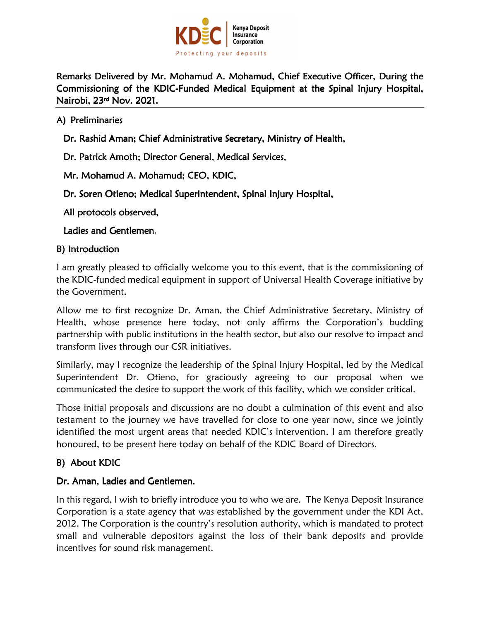

Remarks Delivered by Mr. Mohamud A. Mohamud, Chief Executive Officer, During the Commissioning of the KDIC-Funded Medical Equipment at the Spinal Injury Hospital, Nairobi, 23rd Nov. 2021. Nov. 2021. 2021.

A) Preliminaries

Dr. Rashid Aman; Chief Administrative Secretary, Ministry of Health,

Dr. Patrick Amoth; Director General, Medical Services,

Mr. Mohamud A. Mohamud; CEO, KDIC,

Dr. Soren Otieno; Medical Superintendent, Spinal Injury Hospital,

All protocols observed,

#### Ladies and Gentlemen.

#### B) Introduction

I am greatly pleased to officially welcome you to this event, that is the commissioning of the KDIC-funded medical equipment in support of Universal Health Coverage initiative by the Government.

Allow me to first recognize Dr. Aman, the Chief Administrative Secretary, Ministry of Health, whose presence here today, not only affirms the Corporation's budding partnership with public institutions in the health sector, but also our resolve to impact and transform lives through our CSR initiatives.

Similarly, may I recognize the leadership of the Spinal Injury Hospital, led by the Medical Superintendent Dr. Otieno, for graciously agreeing to our proposal when we communicated the desire to support the work of this facility, which we consider critical.

Those initial proposals and discussions are no doubt a culmination of this event and also testament to the journey we have travelled for close to one year now, since we jointly identified the most urgent areas that needed KDIC's intervention. I am therefore greatly honoured, to be present here today on behalf of the KDIC Board of Directors.

# B) About KDIC

### Dr. Aman, Ladies and Gentlemen.

In this regard, I wish to briefly introduce you to who we are. The Kenya Deposit Insurance Corporation is a state agency that was established by the government under the KDI Act, 2012. The Corporation is the country's resolution authority, which is mandated to protect small and vulnerable depositors against the loss of their bank deposits and provide incentives for sound risk management.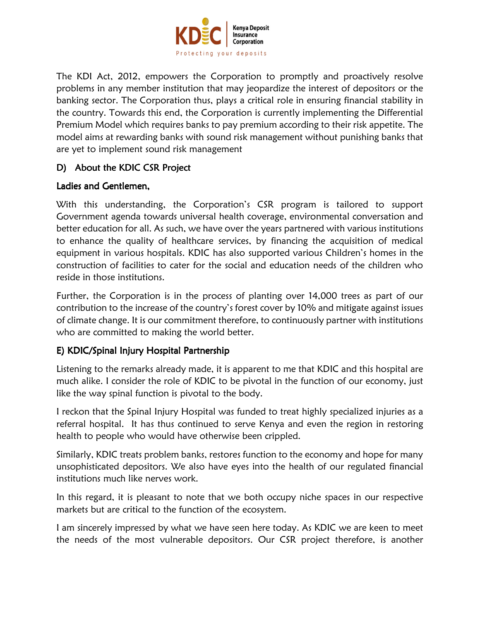

The KDI Act, 2012, empowers the Corporation to promptly and proactively resolve problems in any member institution that may jeopardize the interest of depositors or the banking sector. The Corporation thus, plays a critical role in ensuring financial stability in the country. Towards this end, the Corporation is currently implementing the Differential Premium Model which requires banks to pay premium according to their risk appetite. The model aims at rewarding banks with sound risk management without punishing banks that are yet to implement sound risk management

### D) About the KDIC CSR Project

### Ladies and Gentlemen.

With this understanding, the Corporation's CSR program is tailored to support Government agenda towards universal health coverage, environmental conversation and better education for all. As such, we have over the years partnered with various institutions to enhance the quality of healthcare services, by financing the acquisition of medical equipment in various hospitals. KDIC has also supported various Children's homes in the construction of facilities to cater for the social and education needs of the children who reside in those institutions.

Further, the Corporation is in the process of planting over 14,000 trees as part of our contribution to the increase of the country's forest cover by 10% and mitigate against issues of climate change. It is our commitment therefore, to continuously partner with institutions who are committed to making the world better.

# E) KDIC/Spinal Injury Hospital Partnership

Listening to the remarks already made, it is apparent to me that KDIC and this hospital are much alike. I consider the role of KDIC to be pivotal in the function of our economy, just like the way spinal function is pivotal to the body.

I reckon that the Spinal Injury Hospital was funded to treat highly specialized injuries as a referral hospital. It has thus continued to serve Kenya and even the region in restoring health to people who would have otherwise been crippled.

Similarly, KDIC treats problem banks, restores function to the economy and hope for many unsophisticated depositors. We also have eyes into the health of our regulated financial institutions much like nerves work.

In this regard, it is pleasant to note that we both occupy niche spaces in our respective markets but are critical to the function of the ecosystem.

I am sincerely impressed by what we have seen here today. As KDIC we are keen to meet the needs of the most vulnerable depositors. Our CSR project therefore, is another